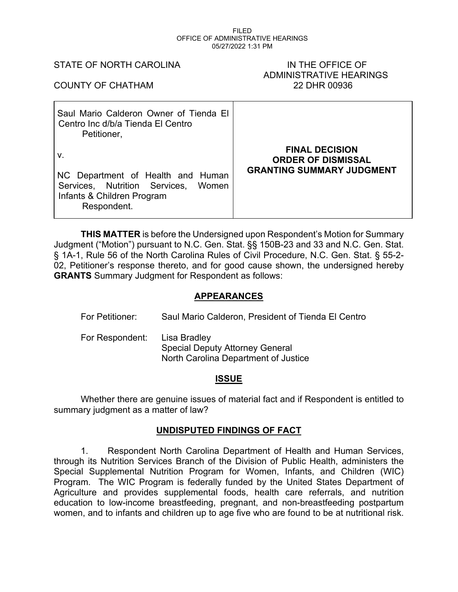#### FILED OFFICE OF ADMINISTRATIVE HEARINGS 05/27/2022 1:31 PM

#### STATE OF NORTH CAROLINA **IN THE OFFICE OF**

# ADMINISTRATIVE HEARINGS COUNTY OF CHATHAM 22 DHR 00936

| Saul Mario Calderon Owner of Tienda El<br>Centro Inc d/b/a Tienda El Centro<br>Petitioner,                                  |                                                                                        |
|-----------------------------------------------------------------------------------------------------------------------------|----------------------------------------------------------------------------------------|
| v.<br>NC Department of Health and Human<br>Services, Nutrition Services, Women<br>Infants & Children Program<br>Respondent. | <b>FINAL DECISION</b><br><b>ORDER OF DISMISSAL</b><br><b>GRANTING SUMMARY JUDGMENT</b> |

**THIS MATTER** is before the Undersigned upon Respondent's Motion for Summary Judgment ("Motion") pursuant to N.C. Gen. Stat. §§ 150B-23 and 33 and N.C. Gen. Stat. § 1A-1, Rule 56 of the North Carolina Rules of Civil Procedure, N.C. Gen. Stat. § 55-2- 02, Petitioner's response thereto, and for good cause shown, the undersigned hereby **GRANTS** Summary Judgment for Respondent as follows:

## **APPEARANCES**

| For Petitioner: | Saul Mario Calderon, President of Tienda El Centro                                             |
|-----------------|------------------------------------------------------------------------------------------------|
| For Respondent: | Lisa Bradley<br><b>Special Deputy Attorney General</b><br>North Carolina Department of Justice |

# **ISSUE**

Whether there are genuine issues of material fact and if Respondent is entitled to summary judgment as a matter of law?

# **UNDISPUTED FINDINGS OF FACT**

1. Respondent North Carolina Department of Health and Human Services, through its Nutrition Services Branch of the Division of Public Health, administers the Special Supplemental Nutrition Program for Women, Infants, and Children (WIC) Program. The WIC Program is federally funded by the United States Department of Agriculture and provides supplemental foods, health care referrals, and nutrition education to low-income breastfeeding, pregnant, and non-breastfeeding postpartum women, and to infants and children up to age five who are found to be at nutritional risk.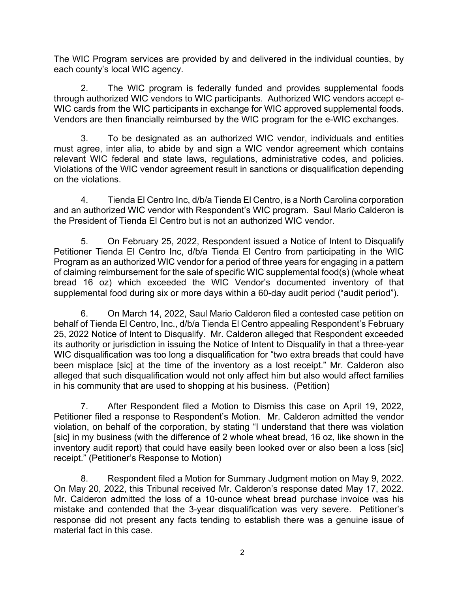The WIC Program services are provided by and delivered in the individual counties, by each county's local WIC agency.

2. The WIC program is federally funded and provides supplemental foods through authorized WIC vendors to WIC participants. Authorized WIC vendors accept e-WIC cards from the WIC participants in exchange for WIC approved supplemental foods. Vendors are then financially reimbursed by the WIC program for the e-WIC exchanges.

3. To be designated as an authorized WIC vendor, individuals and entities must agree, inter alia, to abide by and sign a WIC vendor agreement which contains relevant WIC federal and state laws, regulations, administrative codes, and policies. Violations of the WIC vendor agreement result in sanctions or disqualification depending on the violations.

4. Tienda El Centro Inc, d/b/a Tienda El Centro, is a North Carolina corporation and an authorized WIC vendor with Respondent's WIC program. Saul Mario Calderon is the President of Tienda El Centro but is not an authorized WIC vendor.

5. On February 25, 2022, Respondent issued a Notice of Intent to Disqualify Petitioner Tienda El Centro Inc, d/b/a Tienda El Centro from participating in the WIC Program as an authorized WIC vendor for a period of three years for engaging in a pattern of claiming reimbursement for the sale of specific WIC supplemental food(s) (whole wheat bread 16 oz) which exceeded the WIC Vendor's documented inventory of that supplemental food during six or more days within a 60-day audit period ("audit period").

6. On March 14, 2022, Saul Mario Calderon filed a contested case petition on behalf of Tienda El Centro, Inc., d/b/a Tienda El Centro appealing Respondent's February 25, 2022 Notice of Intent to Disqualify. Mr. Calderon alleged that Respondent exceeded its authority or jurisdiction in issuing the Notice of Intent to Disqualify in that a three-year WIC disqualification was too long a disqualification for "two extra breads that could have been misplace [sic] at the time of the inventory as a lost receipt." Mr. Calderon also alleged that such disqualification would not only affect him but also would affect families in his community that are used to shopping at his business. (Petition)

7. After Respondent filed a Motion to Dismiss this case on April 19, 2022, Petitioner filed a response to Respondent's Motion. Mr. Calderon admitted the vendor violation, on behalf of the corporation, by stating "I understand that there was violation [sic] in my business (with the difference of 2 whole wheat bread, 16 oz, like shown in the inventory audit report) that could have easily been looked over or also been a loss [sic] receipt." (Petitioner's Response to Motion)

8. Respondent filed a Motion for Summary Judgment motion on May 9, 2022. On May 20, 2022, this Tribunal received Mr. Calderon's response dated May 17, 2022. Mr. Calderon admitted the loss of a 10-ounce wheat bread purchase invoice was his mistake and contended that the 3-year disqualification was very severe. Petitioner's response did not present any facts tending to establish there was a genuine issue of material fact in this case.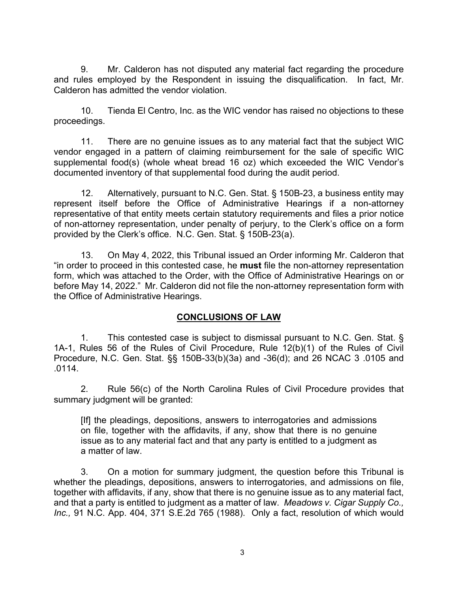9. Mr. Calderon has not disputed any material fact regarding the procedure and rules employed by the Respondent in issuing the disqualification. In fact, Mr. Calderon has admitted the vendor violation.

10. Tienda El Centro, Inc. as the WIC vendor has raised no objections to these proceedings.

11. There are no genuine issues as to any material fact that the subject WIC vendor engaged in a pattern of claiming reimbursement for the sale of specific WIC supplemental food(s) (whole wheat bread 16 oz) which exceeded the WIC Vendor's documented inventory of that supplemental food during the audit period.

12. Alternatively, pursuant to N.C. Gen. Stat. § 150B-23, a business entity may represent itself before the Office of Administrative Hearings if a non-attorney representative of that entity meets certain statutory requirements and files a prior notice of non-attorney representation, under penalty of perjury, to the Clerk's office on a form provided by the Clerk's office. N.C. Gen. Stat. § 150B-23(a).

13. On May 4, 2022, this Tribunal issued an Order informing Mr. Calderon that "in order to proceed in this contested case, he **must** file the non-attorney representation form, which was attached to the Order, with the Office of Administrative Hearings on or before May 14, 2022." Mr. Calderon did not file the non-attorney representation form with the Office of Administrative Hearings.

# **CONCLUSIONS OF LAW**

1. This contested case is subject to dismissal pursuant to N.C. Gen. Stat. § 1A-1, Rules 56 of the Rules of Civil Procedure, Rule 12(b)(1) of the Rules of Civil Procedure, N.C. Gen. Stat. §§ 150B-33(b)(3a) and -36(d); and 26 NCAC 3 .0105 and .0114.

2. Rule 56(c) of the North Carolina Rules of Civil Procedure provides that summary judgment will be granted:

[If] the pleadings, depositions, answers to interrogatories and admissions on file, together with the affidavits, if any, show that there is no genuine issue as to any material fact and that any party is entitled to a judgment as a matter of law.

3. On a motion for summary judgment, the question before this Tribunal is whether the pleadings, depositions, answers to interrogatories, and admissions on file, together with affidavits, if any, show that there is no genuine issue as to any material fact, and that a party is entitled to judgment as a matter of law. *Meadows v. Cigar Supply Co., Inc.,* 91 N.C. App. 404, 371 S.E.2d 765 (1988). Only a fact, resolution of which would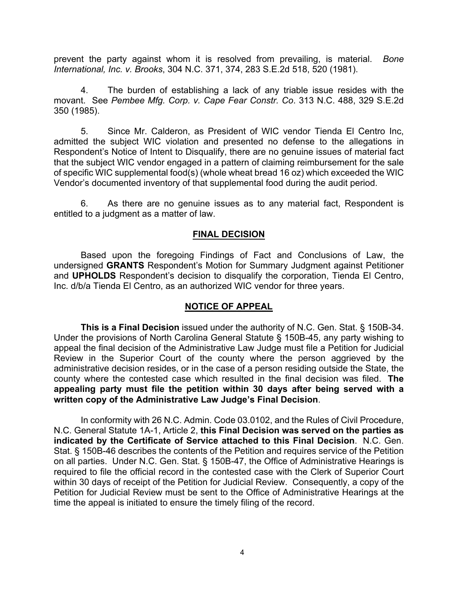prevent the party against whom it is resolved from prevailing, is material. *Bone International, Inc. v. Brooks*, 304 N.C. 371, 374, 283 S.E.2d 518, 520 (1981).

4. The burden of establishing a lack of any triable issue resides with the movant. See *Pembee Mfg. Corp. v. Cape Fear Constr. Co*. 313 N.C. 488, 329 S.E.2d 350 (1985).

5. Since Mr. Calderon, as President of WIC vendor Tienda El Centro Inc, admitted the subject WIC violation and presented no defense to the allegations in Respondent's Notice of Intent to Disqualify, there are no genuine issues of material fact that the subject WIC vendor engaged in a pattern of claiming reimbursement for the sale of specific WIC supplemental food(s) (whole wheat bread 16 oz) which exceeded the WIC Vendor's documented inventory of that supplemental food during the audit period.

6. As there are no genuine issues as to any material fact, Respondent is entitled to a judgment as a matter of law.

#### **FINAL DECISION**

Based upon the foregoing Findings of Fact and Conclusions of Law, the undersigned **GRANTS** Respondent's Motion for Summary Judgment against Petitioner and **UPHOLDS** Respondent's decision to disqualify the corporation, Tienda El Centro, Inc. d/b/a Tienda El Centro, as an authorized WIC vendor for three years.

### **NOTICE OF APPEAL**

**This is a Final Decision** issued under the authority of N.C. Gen. Stat. § 150B-34. Under the provisions of North Carolina General Statute § 150B-45, any party wishing to appeal the final decision of the Administrative Law Judge must file a Petition for Judicial Review in the Superior Court of the county where the person aggrieved by the administrative decision resides, or in the case of a person residing outside the State, the county where the contested case which resulted in the final decision was filed. **The appealing party must file the petition within 30 days after being served with a written copy of the Administrative Law Judge's Final Decision**.

In conformity with 26 N.C. Admin. Code 03.0102, and the Rules of Civil Procedure, N.C. General Statute 1A-1, Article 2, **this Final Decision was served on the parties as indicated by the Certificate of Service attached to this Final Decision**. N.C. Gen. Stat. § 150B-46 describes the contents of the Petition and requires service of the Petition on all parties. Under N.C. Gen. Stat. § 150B-47, the Office of Administrative Hearings is required to file the official record in the contested case with the Clerk of Superior Court within 30 days of receipt of the Petition for Judicial Review. Consequently, a copy of the Petition for Judicial Review must be sent to the Office of Administrative Hearings at the time the appeal is initiated to ensure the timely filing of the record.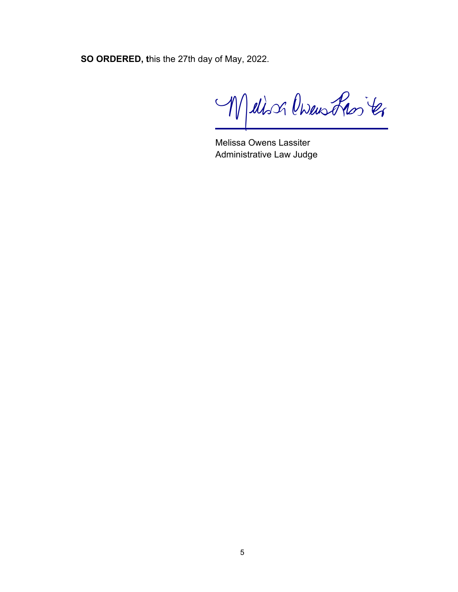**SO ORDERED, t**his the 27th day of May, 2022.

Mellison Owenstron ter

Melissa Owens Lassiter Administrative Law Judge